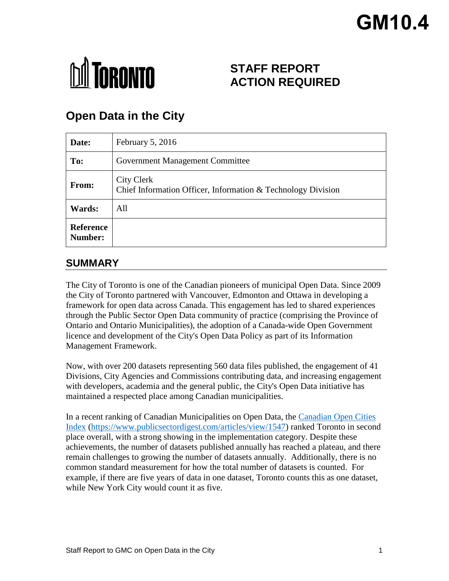# **GM10.4**



# **STAFF REPORT ACTION REQUIRED**

# **Open Data in the City**

| Date:                       | February 5, 2016                                                           |
|-----------------------------|----------------------------------------------------------------------------|
| To:                         | Government Management Committee                                            |
| From:                       | City Clerk<br>Chief Information Officer, Information & Technology Division |
| Wards:                      | All                                                                        |
| <b>Reference</b><br>Number: |                                                                            |

# **SUMMARY**

The City of Toronto is one of the Canadian pioneers of municipal Open Data. Since 2009 the City of Toronto partnered with Vancouver, Edmonton and Ottawa in developing a framework for open data across Canada. This engagement has led to shared experiences through the Public Sector Open Data community of practice (comprising the Province of Ontario and Ontario Municipalities), the adoption of a Canada-wide Open Government licence and development of the City's Open Data Policy as part of its Information Management Framework.

Now, with over 200 datasets representing 560 data files published, the engagement of 41 Divisions, City Agencies and Commissions contributing data, and increasing engagement with developers, academia and the general public, the City's Open Data initiative has maintained a respected place among Canadian municipalities.

In a recent ranking of Canadian Municipalities on Open Data, the [Canadian Open Cities](https://www.publicsectordigest.com/articles/view/1547)  [Index \(https://www.publicsectordigest.com/articles/view/1547\)](https://www.publicsectordigest.com/articles/view/1547) ranked Toronto in second place overall, with a strong showing in the implementation category. Despite these achievements, the number of datasets published annually has reached a plateau, and there remain challenges to growing the number of datasets annually. Additionally, there is no common standard measurement for how the total number of datasets is counted. For example, if there are five years of data in one dataset, Toronto counts this as one dataset, while New York City would count it as five.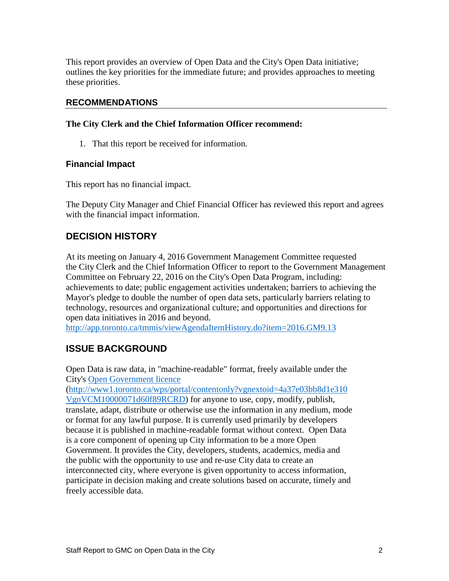This report provides an overview of Open Data and the City's Open Data initiative; outlines the key priorities for the immediate future; and provides approaches to meeting these priorities.

#### **RECOMMENDATIONS**

#### **The City Clerk and the Chief Information Officer recommend:**

1. That this report be received for information.

#### **Financial Impact**

This report has no financial impact.

The Deputy City Manager and Chief Financial Officer has reviewed this report and agrees with the financial impact information.

# **DECISION HISTORY**

At its meeting on January 4, 2016 Government Management Committee requested the City Clerk and the Chief Information Officer to report to the Government Management Committee on February 22, 2016 on the City's Open Data Program, including: achievements to date; public engagement activities undertaken; barriers to achieving the Mayor's pledge to double the number of open data sets, particularly barriers relating to technology, resources and organizational culture; and opportunities and directions for open data initiatives in 2016 and beyond.

<http://app.toronto.ca/tmmis/viewAgendaItemHistory.do?item=2016.GM9.13>

# **ISSUE BACKGROUND**

Open Data is raw data, in "machine-readable" format, freely available under the City's [Open Government licence](http://www1.toronto.ca/wps/portal/contentonly?vgnextoid=4a37e03bb8d1e310VgnVCM10000071d60f89RCRD)

[\(http://www1.toronto.ca/wps/portal/contentonly?vgnextoid=4a37e03bb8d1e310](http://www1.toronto.ca/wps/portal/contentonly?vgnextoid=4a37e03bb8d1e310VgnVCM10000071d60f89RCRD) [VgnVCM10000071d60f89RCRD\)](http://www1.toronto.ca/wps/portal/contentonly?vgnextoid=4a37e03bb8d1e310VgnVCM10000071d60f89RCRD) for anyone to use, copy, modify, publish, translate, adapt, distribute or otherwise use the information in any medium, mode or format for any lawful purpose. It is currently used primarily by developers because it is published in machine-readable format without context. Open Data is a core component of opening up City information to be a more Open Government. It provides the City, developers, students, academics, media and the public with the opportunity to use and re-use City data to create an interconnected city, where everyone is given opportunity to access information, participate in decision making and create solutions based on accurate, timely and freely accessible data.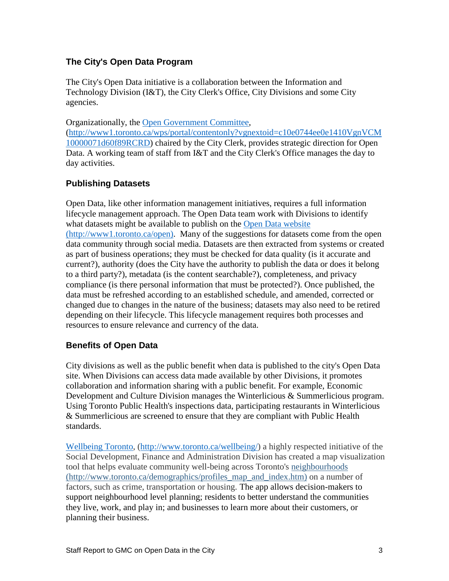# **The City's Open Data Program**

The City's Open Data initiative is a collaboration between the Information and Technology Division (I&T), the City Clerk's Office, City Divisions and some City agencies.

Organizationally, the [Open Government Committee,](http://www1.toronto.ca/wps/portal/contentonly?vgnextoid=c10e0744ee0e1410VgnVCM10000071d60f89RCRD) [\(http://www1.toronto.ca/wps/portal/contentonly?vgnextoid=c10e0744ee0e1410VgnVCM](http://www1.toronto.ca/wps/portal/contentonly?vgnextoid=c10e0744ee0e1410VgnVCM10000071d60f89RCRD) [10000071d60f89RCRD\)](http://www1.toronto.ca/wps/portal/contentonly?vgnextoid=c10e0744ee0e1410VgnVCM10000071d60f89RCRD) chaired by the City Clerk, provides strategic direction for Open Data. A working team of staff from I&T and the City Clerk's Office manages the day to day activities.

# **Publishing Datasets**

Open Data, like other information management initiatives, requires a full information lifecycle management approach. The Open Data team work with Divisions to identify what datasets might be available to publish on the [Open Data website](http://www1.toronto.ca/wps/portal/contentonly?vgnextoid=9e56e03bb8d1e310VgnVCM10000071d60f89RCRD) (http://www1.toronto.ca/open). Many of the suggestions for datasets come from the open data community through social media. Datasets are then extracted from systems or created as part of business operations; they must be checked for data quality (is it accurate and current?), authority (does the City have the authority to publish the data or does it belong to a third party?), metadata (is the content searchable?), completeness, and privacy compliance (is there personal information that must be protected?). Once published, the data must be refreshed according to an established schedule, and amended, corrected or changed due to changes in the nature of the business; datasets may also need to be retired depending on their lifecycle. This lifecycle management requires both processes and resources to ensure relevance and currency of the data.

# **Benefits of Open Data**

City divisions as well as the public benefit when data is published to the city's Open Data site. When Divisions can access data made available by other Divisions, it promotes collaboration and information sharing with a public benefit. For example, Economic Development and Culture Division manages the Winterlicious & Summerlicious program. Using Toronto Public Health's inspections data, participating restaurants in Winterlicious & Summerlicious are screened to ensure that they are compliant with Public Health standards.

[Wellbeing Toronto,](http://www.toronto.ca/wellbeing/) [\(http://www.toronto.ca/wellbeing/\)](http://www.toronto.ca/wellbeing/) a highly respected initiative of the Social Development, Finance and Administration Division has created a map visualization tool that helps evaluate community well-being across Toronto's [neighbourhoods](http://www.toronto.ca/demographics/profiles_map_and_index.htm) (http://www.toronto.ca/demographics/profiles\_map\_and\_index.htm) on a number of factors, such as crime, transportation or housing. The app allows decision-makers to support neighbourhood level planning; residents to better understand the communities they live, work, and play in; and businesses to learn more about their customers, or planning their business.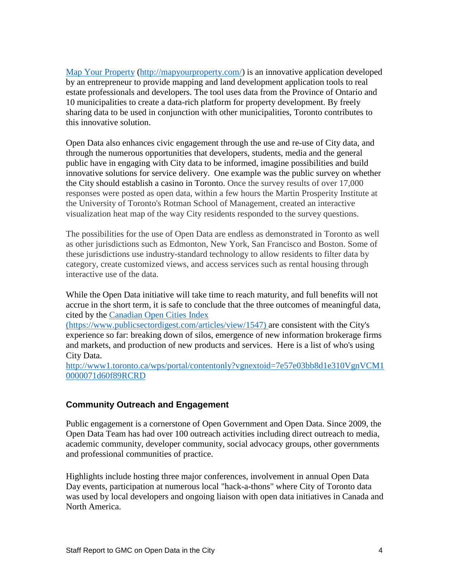[Map Your Property](http://mapyourproperty.com/) [\(http://mapyourproperty.com/\)](http://mapyourproperty.com/) is an innovative application developed by an entrepreneur to provide mapping and land development application tools to real estate professionals and developers. The tool uses data from the Province of Ontario and 10 municipalities to create a data-rich platform for property development. By freely sharing data to be used in conjunction with other municipalities, Toronto contributes to this innovative solution.

Open Data also enhances civic engagement through the use and re-use of City data, and through the numerous opportunities that developers, students, media and the general public have in engaging with City data to be informed, imagine possibilities and build innovative solutions for service delivery. One example was the public survey on whether the City should establish a casino in Toronto. Once the survey results of over 17,000 responses were posted as open data, within a few hours the Martin Prosperity Institute at the University of Toronto's Rotman School of Management, created an interactive visualization heat map of the way City residents responded to the survey questions.

The possibilities for the use of Open Data are endless as demonstrated in Toronto as well as other jurisdictions such as Edmonton, New York, San Francisco and Boston. Some of these jurisdictions use industry-standard technology to allow residents to filter data by category, create customized views, and access services such as rental housing through interactive use of the data.

While the Open Data initiative will take time to reach maturity, and full benefits will not accrue in the short term, it is safe to conclude that the three outcomes of meaningful data, cited by the [Canadian Open Cities Index](https://www.publicsectordigest.com/articles/view/1547)

[\(https://www.publicsectordigest.com/articles/view/1547\)](https://www.publicsectordigest.com/articles/view/1547) are consistent with the City's experience so far: breaking down of silos, emergence of new information brokerage firms and markets, and production of new products and services. Here is a list of who's using City Data.

[http://www1.toronto.ca/wps/portal/contentonly?vgnextoid=7e57e03bb8d1e310VgnVCM1](http://www1.toronto.ca/wps/portal/contentonly?vgnextoid=7e57e03bb8d1e310VgnVCM10000071d60f89RCRD) [0000071d60f89RCRD](http://www1.toronto.ca/wps/portal/contentonly?vgnextoid=7e57e03bb8d1e310VgnVCM10000071d60f89RCRD)

#### **Community Outreach and Engagement**

Public engagement is a cornerstone of Open Government and Open Data. Since 2009, the Open Data Team has had over 100 outreach activities including direct outreach to media, academic community, developer community, social advocacy groups, other governments and professional communities of practice.

Highlights include hosting three major conferences, involvement in annual Open Data Day events, participation at numerous local "hack-a-thons" where City of Toronto data was used by local developers and ongoing liaison with open data initiatives in Canada and North America.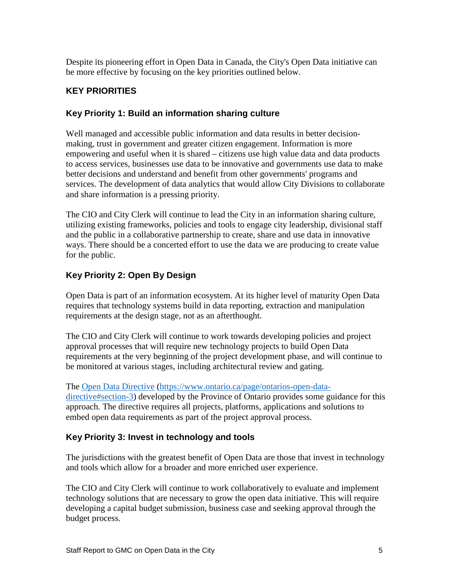Despite its pioneering effort in Open Data in Canada, the City's Open Data initiative can be more effective by focusing on the key priorities outlined below.

# **KEY PRIORITIES**

#### **Key Priority 1: Build an information sharing culture**

Well managed and accessible public information and data results in better decisionmaking, trust in government and greater citizen engagement. Information is more empowering and useful when it is shared – citizens use high value data and data products to access services, businesses use data to be innovative and governments use data to make better decisions and understand and benefit from other governments' programs and services. The development of data analytics that would allow City Divisions to collaborate and share information is a pressing priority.

The CIO and City Clerk will continue to lead the City in an information sharing culture, utilizing existing frameworks, policies and tools to engage city leadership, divisional staff and the public in a collaborative partnership to create, share and use data in innovative ways. There should be a concerted effort to use the data we are producing to create value for the public.

# **Key Priority 2: Open By Design**

Open Data is part of an information ecosystem. At its higher level of maturity Open Data requires that technology systems build in data reporting, extraction and manipulation requirements at the design stage, not as an afterthought.

The CIO and City Clerk will continue to work towards developing policies and project approval processes that will require new technology projects to build Open Data requirements at the very beginning of the project development phase, and will continue to be monitored at various stages, including architectural review and gating.

# The [Open Data Directive](https://www.ontario.ca/page/ontarios-open-data-directive%23section-3) [\(https://www.ontario.ca/page/ontarios-open-data-](https://www.ontario.ca/page/ontarios-open-data-directive%23section-3)

[directive#section-3\)](https://www.ontario.ca/page/ontarios-open-data-directive%23section-3) developed by the Province of Ontario provides some guidance for this approach. The directive requires all projects, platforms, applications and solutions to embed open data requirements as part of the project approval process.

# **Key Priority 3: Invest in technology and tools**

The jurisdictions with the greatest benefit of Open Data are those that invest in technology and tools which allow for a broader and more enriched user experience.

The CIO and City Clerk will continue to work collaboratively to evaluate and implement technology solutions that are necessary to grow the open data initiative. This will require developing a capital budget submission, business case and seeking approval through the budget process.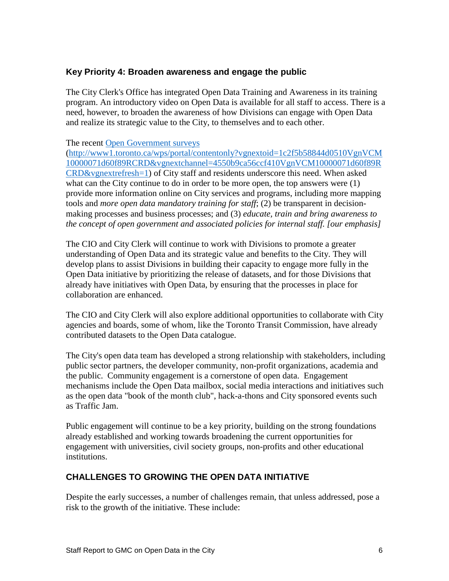#### **Key Priority 4: Broaden awareness and engage the public**

The City Clerk's Office has integrated Open Data Training and Awareness in its training program. An introductory video on Open Data is available for all staff to access. There is a need, however, to broaden the awareness of how Divisions can engage with Open Data and realize its strategic value to the City, to themselves and to each other.

#### The recent [Open Government surveys](http://www1.toronto.ca/wps/portal/contentonly?vgnextoid=1c2f5b58844d0510VgnVCM10000071d60f89RCRD&vgnextchannel=4550b9ca56ccf410VgnVCM10000071d60f89RCRD&vgnextrefresh=1)

[\(http://www1.toronto.ca/wps/portal/contentonly?vgnextoid=1c2f5b58844d0510VgnVCM](http://www1.toronto.ca/wps/portal/contentonly?vgnextoid=1c2f5b58844d0510VgnVCM10000071d60f89RCRD&vgnextchannel=4550b9ca56ccf410VgnVCM10000071d60f89RCRD&vgnextrefresh=1) [10000071d60f89RCRD&vgnextchannel=4550b9ca56ccf410VgnVCM10000071d60f89R](http://www1.toronto.ca/wps/portal/contentonly?vgnextoid=1c2f5b58844d0510VgnVCM10000071d60f89RCRD&vgnextchannel=4550b9ca56ccf410VgnVCM10000071d60f89RCRD&vgnextrefresh=1) [CRD&vgnextrefresh=1\)](http://www1.toronto.ca/wps/portal/contentonly?vgnextoid=1c2f5b58844d0510VgnVCM10000071d60f89RCRD&vgnextchannel=4550b9ca56ccf410VgnVCM10000071d60f89RCRD&vgnextrefresh=1) of City staff and residents underscore this need. When asked what can the City continue to do in order to be more open, the top answers were  $(1)$ provide more information online on City services and programs, including more mapping tools and *more open data mandatory training for staff*; (2) be transparent in decisionmaking processes and business processes; and (3) *educate, train and bring awareness to the concept of open government and associated policies for internal staff. [our emphasis]*

The CIO and City Clerk will continue to work with Divisions to promote a greater understanding of Open Data and its strategic value and benefits to the City. They will develop plans to assist Divisions in building their capacity to engage more fully in the Open Data initiative by prioritizing the release of datasets, and for those Divisions that already have initiatives with Open Data, by ensuring that the processes in place for collaboration are enhanced.

The CIO and City Clerk will also explore additional opportunities to collaborate with City agencies and boards, some of whom, like the Toronto Transit Commission, have already contributed datasets to the Open Data catalogue.

The City's open data team has developed a strong relationship with stakeholders, including public sector partners, the developer community, non-profit organizations, academia and the public. Community engagement is a cornerstone of open data. Engagement mechanisms include the Open Data mailbox, social media interactions and initiatives such as the open data "book of the month club", hack-a-thons and City sponsored events such as Traffic Jam.

Public engagement will continue to be a key priority, building on the strong foundations already established and working towards broadening the current opportunities for engagement with universities, civil society groups, non-profits and other educational institutions.

# **CHALLENGES TO GROWING THE OPEN DATA INITIATIVE**

Despite the early successes, a number of challenges remain, that unless addressed, pose a risk to the growth of the initiative. These include: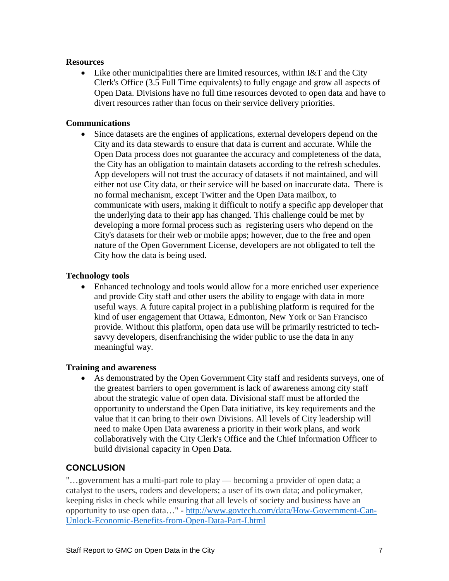#### **Resources**

• Like other municipalities there are limited resources, within I&T and the City Clerk's Office (3.5 Full Time equivalents) to fully engage and grow all aspects of Open Data. Divisions have no full time resources devoted to open data and have to divert resources rather than focus on their service delivery priorities.

#### **Communications**

• Since datasets are the engines of applications, external developers depend on the City and its data stewards to ensure that data is current and accurate. While the Open Data process does not guarantee the accuracy and completeness of the data, the City has an obligation to maintain datasets according to the refresh schedules. App developers will not trust the accuracy of datasets if not maintained, and will either not use City data, or their service will be based on inaccurate data. There is no formal mechanism, except Twitter and the Open Data mailbox, to communicate with users, making it difficult to notify a specific app developer that the underlying data to their app has changed. This challenge could be met by developing a more formal process such as registering users who depend on the City's datasets for their web or mobile apps; however, due to the free and open nature of the Open Government License, developers are not obligated to tell the City how the data is being used.

#### **Technology tools**

• Enhanced technology and tools would allow for a more enriched user experience and provide City staff and other users the ability to engage with data in more useful ways. A future capital project in a publishing platform is required for the kind of user engagement that Ottawa, Edmonton, New York or San Francisco provide. Without this platform, open data use will be primarily restricted to techsavvy developers, disenfranchising the wider public to use the data in any meaningful way.

#### **Training and awareness**

As demonstrated by the Open Government City staff and residents surveys, one of the greatest barriers to open government is lack of awareness among city staff about the strategic value of open data. Divisional staff must be afforded the opportunity to understand the Open Data initiative, its key requirements and the value that it can bring to their own Divisions. All levels of City leadership will need to make Open Data awareness a priority in their work plans, and work collaboratively with the City Clerk's Office and the Chief Information Officer to build divisional capacity in Open Data.

# **CONCLUSION**

"…government has a multi-part role to play — becoming a provider of open data; a catalyst to the users, coders and developers; a user of its own data; and policymaker, keeping risks in check while ensuring that all levels of society and business have an opportunity to use open data…" - [http://www.govtech.com/data/How-Government-Can-](http://www.govtech.com/data/How-Government-Can-Unlock-Economic-Benefits-from-Open-Data-Part-I.html)[Unlock-Economic-Benefits-from-Open-Data-Part-I.html](http://www.govtech.com/data/How-Government-Can-Unlock-Economic-Benefits-from-Open-Data-Part-I.html)